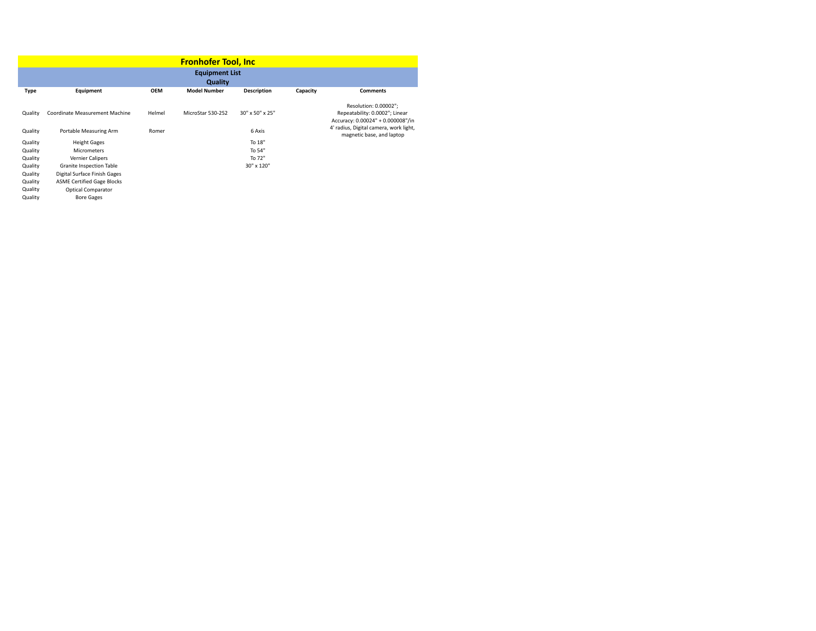|                       | <b>Fronhofer Tool, Inc</b>            |            |                     |                    |          |                                                                                              |  |
|-----------------------|---------------------------------------|------------|---------------------|--------------------|----------|----------------------------------------------------------------------------------------------|--|
| <b>Equipment List</b> |                                       |            |                     |                    |          |                                                                                              |  |
| Quality               |                                       |            |                     |                    |          |                                                                                              |  |
| <b>Type</b>           | Equipment                             | <b>OEM</b> | <b>Model Number</b> | <b>Description</b> | Capacity | <b>Comments</b>                                                                              |  |
| Quality               | <b>Coordinate Measurement Machine</b> | Helmel     | MicroStar 530-252   | 30" x 50" x 25"    |          | Resolution: 0.00002";<br>Repeatability: 0.0002"; Linear<br>Accuracy: 0.00024" + 0.000008"/in |  |
| Quality               | Portable Measuring Arm                | Romer      |                     | 6 Axis             |          | 4' radius, Digital camera, work light,<br>magnetic base, and laptop                          |  |
| Quality               | <b>Height Gages</b>                   |            |                     | To 18"             |          |                                                                                              |  |
| Quality               | <b>Micrometers</b>                    |            |                     | To 54"             |          |                                                                                              |  |
| Quality               | Vernier Calipers                      |            |                     | To 72"             |          |                                                                                              |  |
| Quality               | Granite Inspection Table              |            |                     | 30" x 120"         |          |                                                                                              |  |
| Quality               | Digital Surface Finish Gages          |            |                     |                    |          |                                                                                              |  |
| Quality               | <b>ASME Certified Gage Blocks</b>     |            |                     |                    |          |                                                                                              |  |
| Quality               | <b>Optical Comparator</b>             |            |                     |                    |          |                                                                                              |  |
| Quality               | <b>Bore Gages</b>                     |            |                     |                    |          |                                                                                              |  |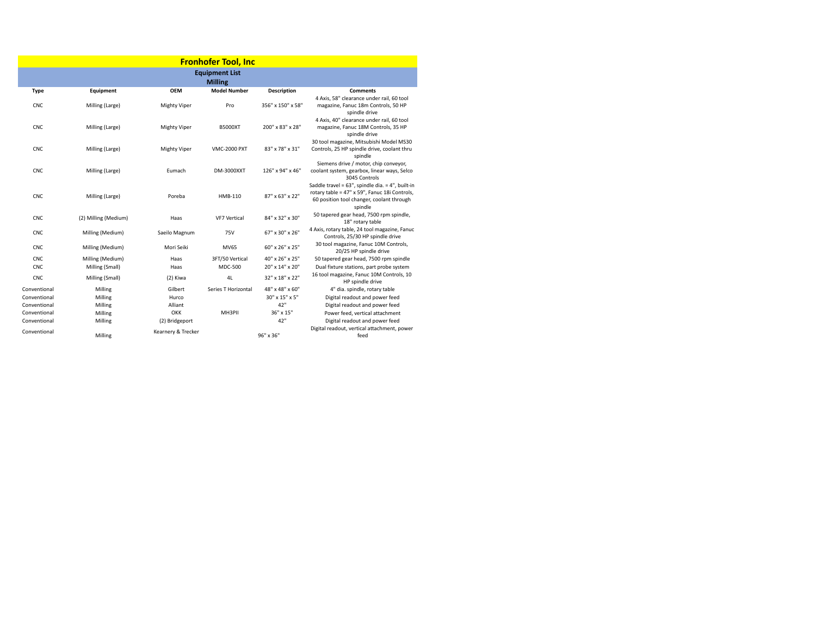| <b>Fronhofer Tool, Inc</b> |                      |                     |                     |                    |                                                                                                                                                           |  |  |  |
|----------------------------|----------------------|---------------------|---------------------|--------------------|-----------------------------------------------------------------------------------------------------------------------------------------------------------|--|--|--|
| <b>Equipment List</b>      |                      |                     |                     |                    |                                                                                                                                                           |  |  |  |
| <b>Milling</b>             |                      |                     |                     |                    |                                                                                                                                                           |  |  |  |
| <b>Type</b>                | Equipment            | <b>OEM</b>          | <b>Model Number</b> | <b>Description</b> | Comments                                                                                                                                                  |  |  |  |
| CNC                        | Milling (Large)      | <b>Mighty Viper</b> | Pro                 | 356" x 150" x 58"  | 4 Axis, 58" clearance under rail, 60 tool<br>magazine, Fanuc 18m Controls, 50 HP<br>spindle drive                                                         |  |  |  |
| CNC                        | Milling (Large)      | <b>Mighty Viper</b> | <b>B5000XT</b>      | 200" x 83" x 28"   | 4 Axis, 40" clearance under rail, 60 tool<br>magazine, Fanuc 18M Controls, 35 HP<br>spindle drive                                                         |  |  |  |
| CNC                        | Milling (Large)      | <b>Mighty Viper</b> | <b>VMC-2000 PXT</b> | 83" x 78" x 31"    | 30 tool magazine, Mitsubishi Model MS30<br>Controls, 25 HP spindle drive, coolant thru<br>spindle                                                         |  |  |  |
| CNC                        | Milling (Large)      | Fumach              | DM-3000XXT          | 126" x 94" x 46"   | Siemens drive / motor, chip conveyor,<br>coolant system, gearbox, linear ways, Selco<br>3045 Controls                                                     |  |  |  |
| CNC                        | Milling (Large)      | Poreba              | HMB-110             | 87" x 63" x 22"    | Saddle travel = 63", spindle dia. = 4", built-in<br>rotary table = 47" x 59", Fanuc 18i Controls,<br>60 position tool changer, coolant through<br>spindle |  |  |  |
| CNC                        | (2) Milling (Medium) | Haas                | <b>VF7 Vertical</b> | 84" x 32" x 30"    | 50 tapered gear head, 7500 rpm spindle,<br>18" rotary table                                                                                               |  |  |  |
| CNC                        | Milling (Medium)     | Saeilo Magnum       | <b>75V</b>          | 67" x 30" x 26"    | 4 Axis, rotary table, 24 tool magazine, Fanuc<br>Controls, 25/30 HP spindle drive                                                                         |  |  |  |
| <b>CNC</b>                 | Milling (Medium)     | Mori Seiki          | <b>MV65</b>         | 60" x 26" x 25"    | 30 tool magazine, Fanuc 10M Controls,<br>20/25 HP spindle drive                                                                                           |  |  |  |
| <b>CNC</b>                 | Milling (Medium)     | Haas                | 3FT/50 Vertical     | 40" x 26" x 25"    | 50 tapered gear head, 7500 rpm spindle                                                                                                                    |  |  |  |
| CNC                        | Milling (Small)      | Haas                | MDC-500             | 20" x 14" x 20"    | Dual fixture stations, part probe system                                                                                                                  |  |  |  |
| CNC                        | Milling (Small)      | (2) Kiwa            | 4L                  | 32" x 18" x 22"    | 16 tool magazine, Fanuc 10M Controls, 10<br>HP spindle drive                                                                                              |  |  |  |
| Conventional               | Milling              | Gilbert             | Series T Horizontal | 48" x 48" x 60"    | 4" dia. spindle, rotary table                                                                                                                             |  |  |  |
| Conventional               | Milling              | Hurco               |                     | 30" x 15" x 5"     | Digital readout and power feed                                                                                                                            |  |  |  |
| Conventional               | Milling              | Alliant             |                     | 42"                | Digital readout and power feed                                                                                                                            |  |  |  |
| Conventional               | Milling              | OKK                 | MH3PII              | 36" x 15"          | Power feed, vertical attachment                                                                                                                           |  |  |  |
| Conventional               | Milling              | (2) Bridgeport      |                     | 42"                | Digital readout and power feed                                                                                                                            |  |  |  |
| Conventional               | Milling              | Kearnery & Trecker  |                     | 96" x 36"          | Digital readout, vertical attachment, power<br>feed                                                                                                       |  |  |  |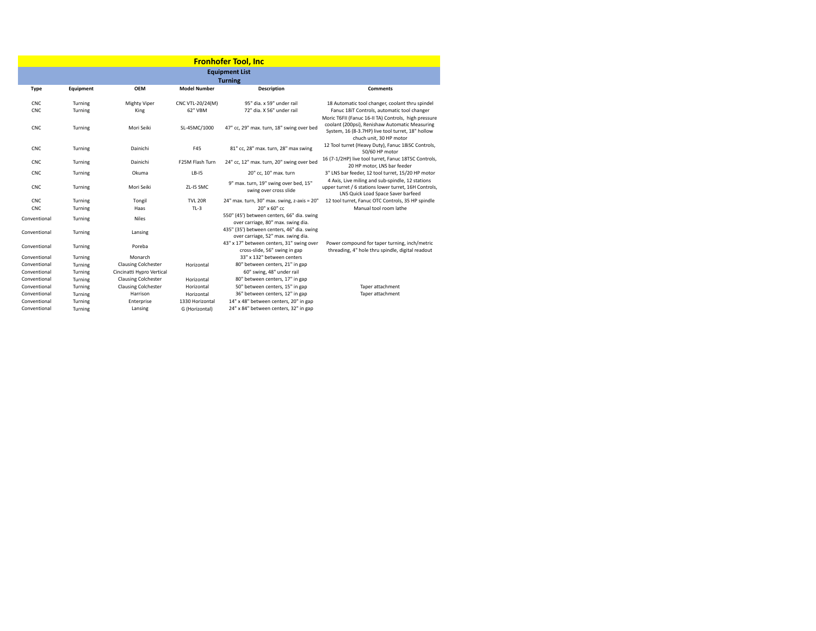| <b>Fronhofer Tool, Inc</b> |           |                            |                     |                                                                                  |                                                                                                                                                 |  |  |  |
|----------------------------|-----------|----------------------------|---------------------|----------------------------------------------------------------------------------|-------------------------------------------------------------------------------------------------------------------------------------------------|--|--|--|
| <b>Equipment List</b>      |           |                            |                     |                                                                                  |                                                                                                                                                 |  |  |  |
| <b>Turning</b>             |           |                            |                     |                                                                                  |                                                                                                                                                 |  |  |  |
| Type                       | Equipment | <b>OEM</b>                 | <b>Model Number</b> | <b>Description</b>                                                               | <b>Comments</b>                                                                                                                                 |  |  |  |
| CNC                        | Turning   | <b>Mighty Viper</b>        | CNC VTL-20/24(M)    | 95" dia, x 59" under rail                                                        | 18 Automatic tool changer, coolant thru spindel                                                                                                 |  |  |  |
| CNC                        | Turning   | King                       | 62" VBM             | 72" dia. X 56" under rail                                                        | Fanuc 18iT Controls, automatic tool changer                                                                                                     |  |  |  |
|                            |           |                            |                     |                                                                                  | Moric T6FII (Fanuc 16-II TA) Controls, high pressure                                                                                            |  |  |  |
| CNC                        | Turning   | Mori Seiki                 | SL-45MC/1000        | 47" cc, 29" max. turn, 18" swing over bed                                        | coolant (200psi), Renishaw Automatic Measuring<br>System, 16 (8-3.7HP) live tool turret, 18" hollow<br>chuch unit, 30 HP motor                  |  |  |  |
| CNC                        | Turning   | Dainichi                   | F45                 | 81" cc, 28" max. turn, 28" max swing                                             | 12 Tool turret (Heavy Duty), Fanuc 18iSC Controls,<br>50/60 HP motor                                                                            |  |  |  |
| <b>CNC</b>                 | Turning   | Dainichi                   | F25M Flash Turn     | 24" cc, 12" max. turn, 20" swing over bed                                        | 16 (7-1/2HP) live tool turret, Fanuc 18TSC Controls,<br>20 HP motor, LNS bar feeder                                                             |  |  |  |
| CNC                        | Turning   | Okuma                      | $LB-15$             | 20" cc, 10" max. turn                                                            | 3" LNS bar feeder, 12 tool turret, 15/20 HP motor                                                                                               |  |  |  |
| CNC                        | Turning   | Mori Seiki                 | ZL-I5 SMC           | 9" max. turn, 19" swing over bed, 15"<br>swing over cross slide                  | 4 Axis, Live miling and sub-spindle, 12 stations<br>upper turret / 6 stations lower turret, 16H Controls,<br>LNS Quick Load Space Saver barfeed |  |  |  |
| CNC                        | Turning   | Tongil                     | <b>TVL 20R</b>      | 24" max. turn, 30" max. swing, z-axis = 20"                                      | 12 tool turret, Fanuc OTC Controls, 35 HP spindle                                                                                               |  |  |  |
| CNC                        | Turning   | Haas                       | $TL-3$              | $20" \times 60"$ cc.                                                             | Manual tool room lathe                                                                                                                          |  |  |  |
| Conventional               | Turning   | <b>Niles</b>               |                     | 550" (45') between centers, 66" dia. swing<br>over carriage, 80" max. swing dia. |                                                                                                                                                 |  |  |  |
| Conventional               | Turning   | Lansing                    |                     | 435" (35') between centers, 46" dia. swing<br>over carriage, 52" max. swing dia. |                                                                                                                                                 |  |  |  |
| Conventional               | Turning   | Poreba                     |                     | 43" x 17" between centers, 31" swing over<br>cross-slide, 56" swing in gap       | Power compound for taper turning, inch/metric<br>threading, 4" hole thru spindle, digital readout                                               |  |  |  |
| Conventional               | Turning   | Monarch                    |                     | 33" x 132" between centers                                                       |                                                                                                                                                 |  |  |  |
| Conventional               | Turning   | <b>Clausing Colchester</b> | Horizontal          | 80" between centers, 21" in gap                                                  |                                                                                                                                                 |  |  |  |
| Conventional               | Turning   | Cincinatti Hypro Vertical  |                     | 60" swing, 48" under rail                                                        |                                                                                                                                                 |  |  |  |
| Conventional               | Turning   | <b>Clausing Colchester</b> | Horizontal          | 80" between centers, 17" in gap                                                  |                                                                                                                                                 |  |  |  |
| Conventional               | Turning   | <b>Clausing Colchester</b> | Horizontal          | 50" between centers, 15" in gap                                                  | Taper attachment                                                                                                                                |  |  |  |
| Conventional               | Turning   | Harrison                   | Horizontal          | 36" between centers, 12" in gap                                                  | Taper attachment                                                                                                                                |  |  |  |
| Conventional               | Turning   | Enterprise                 | 1330 Horizontal     | 14" x 48" between centers, 20" in gap                                            |                                                                                                                                                 |  |  |  |
| Conventional               | Turning   | Lansing                    | G (Horizontal)      | 24" x 84" between centers, 32" in gap                                            |                                                                                                                                                 |  |  |  |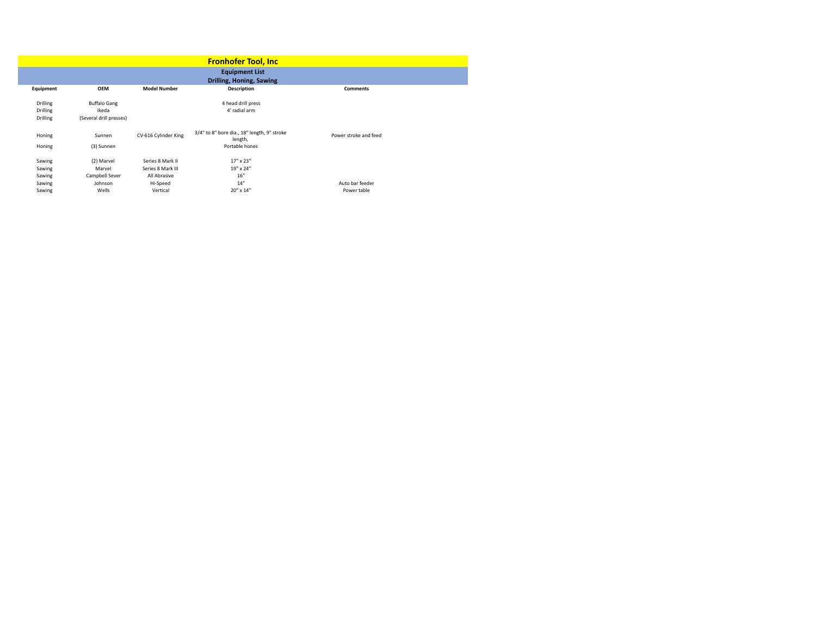| <b>Fronhofer Tool, Inc</b>      |                         |                      |                                                        |                       |  |  |  |  |
|---------------------------------|-------------------------|----------------------|--------------------------------------------------------|-----------------------|--|--|--|--|
| <b>Equipment List</b>           |                         |                      |                                                        |                       |  |  |  |  |
| <b>Drilling, Honing, Sawing</b> |                         |                      |                                                        |                       |  |  |  |  |
| Equipment                       | <b>OEM</b>              | <b>Model Number</b>  | <b>Description</b>                                     | <b>Comments</b>       |  |  |  |  |
| Drilling                        | <b>Buffalo Gang</b>     |                      | 4 head drill press                                     |                       |  |  |  |  |
| Drilling                        | Ikeda                   |                      | 4' radial arm                                          |                       |  |  |  |  |
| Drilling                        | (Several drill presses) |                      |                                                        |                       |  |  |  |  |
| Honing                          | Sunnen                  | CV-616 Cylinder King | 3/4" to 8" bore dia., 18" length, 9" stroke<br>length, | Power stroke and feed |  |  |  |  |
| Honing                          | (3) Sunnen              |                      | Portable hones                                         |                       |  |  |  |  |
| Sawing                          | (2) Marvel              | Series 8 Mark II     | 17" x 23"                                              |                       |  |  |  |  |
| Sawing                          | Marvel                  | Series 8 Mark III    | 19" x 24"                                              |                       |  |  |  |  |
| Sawing                          | Campbell Sever          | All Abrasive         | 16"                                                    |                       |  |  |  |  |
| Sawing                          | Johnson                 | Hi-Speed             | 14"                                                    | Auto bar feeder       |  |  |  |  |
| Sawing                          | Wells                   | Vertical             | 20" x 14"                                              | Power table           |  |  |  |  |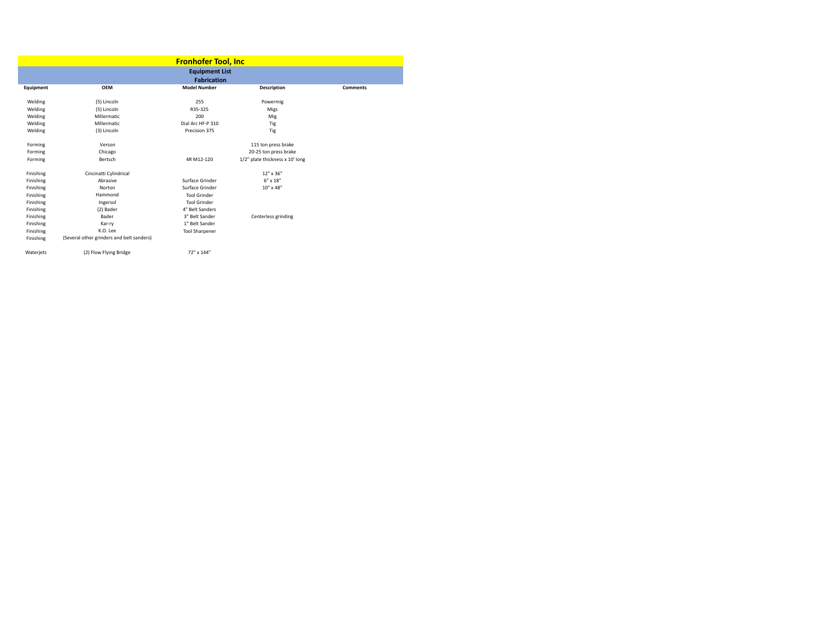| <b>Fronhofer Tool, Inc</b> |                                           |                       |                                 |                 |  |  |  |
|----------------------------|-------------------------------------------|-----------------------|---------------------------------|-----------------|--|--|--|
| <b>Equipment List</b>      |                                           |                       |                                 |                 |  |  |  |
| <b>Fabrication</b>         |                                           |                       |                                 |                 |  |  |  |
| Equipment                  | <b>OEM</b>                                | <b>Model Number</b>   | <b>Description</b>              | <b>Comments</b> |  |  |  |
| Welding                    | (5) Lincoln                               | 255                   | Powermig                        |                 |  |  |  |
| Welding                    | (5) Lincoln                               | R35-325               | Migs                            |                 |  |  |  |
| Welding                    | Millermatic                               | 200                   | Mig                             |                 |  |  |  |
| Welding                    | Millermatic                               | Dial Arc HF-P 310     | Tig                             |                 |  |  |  |
| Welding                    | (3) Lincoln                               | Precision 375         | Tig                             |                 |  |  |  |
| Forming                    | Verson                                    |                       | 115 ton press brake             |                 |  |  |  |
| Forming                    | Chicago                                   |                       | 20-25 ton press brake           |                 |  |  |  |
| Forming                    | Bertsch                                   | 4R M12-120            | 1/2" plate thickness x 10' long |                 |  |  |  |
| Finishing                  | Cincinatti Cylindrical                    |                       | 12" x 36"                       |                 |  |  |  |
| Finishing                  | Abrasive                                  | Surface Grinder       | $6" \times 18"$                 |                 |  |  |  |
| Finishing                  | Norton                                    | Surface Grinder       | 10" x 48"                       |                 |  |  |  |
| Finishing                  | Hammond                                   | <b>Tool Grinder</b>   |                                 |                 |  |  |  |
| Finishing                  | Ingersol                                  | <b>Tool Grinder</b>   |                                 |                 |  |  |  |
| Finishing                  | (2) Bader                                 | 4" Belt Sanders       |                                 |                 |  |  |  |
| Finishing                  | Bader                                     | 3" Belt Sander        | Centerless grinding             |                 |  |  |  |
| Finishing                  | Kar-ry                                    | 1" Belt Sander        |                                 |                 |  |  |  |
| Finishing                  | K.O. Lee                                  | <b>Tool Sharpener</b> |                                 |                 |  |  |  |
| Finishing                  | (Several other grinders and belt sanders) |                       |                                 |                 |  |  |  |
| Waterjets                  | (2) Flow Flying Bridge                    | 72" x 144"            |                                 |                 |  |  |  |